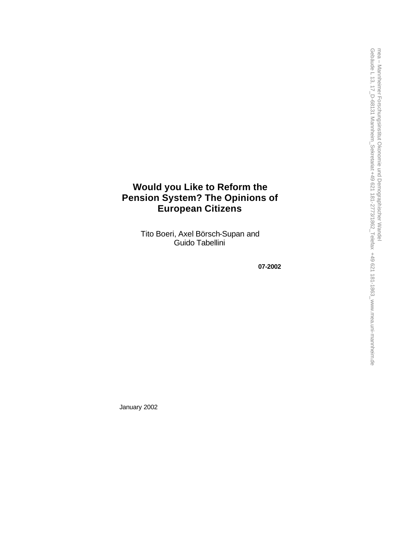# **Would you Like to Reform the Pension System? The Opinions of European Citizens**

Tito Boeri, Axel Börsch -Supan and Guido Tabellini

**07 -2002**

January 2002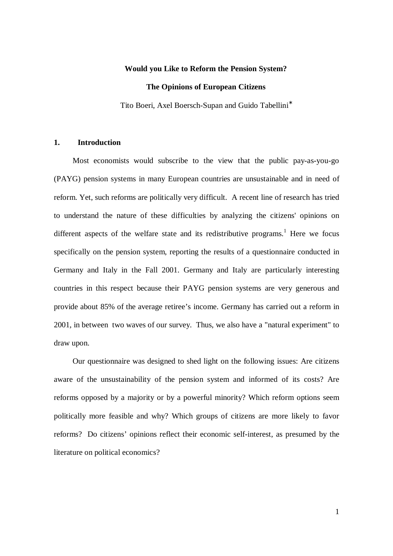## **Would you Like to Reform the Pension System?**

#### **The Opinions of European Citizens**

Tito Boeri, Axel Boersch-Supan and Guido Tabellini<sup>\*</sup>

### **1. Introduction**

Most economists would subscribe to the view that the public pay-as-you-go (PAYG) pension systems in many European countries are unsustainable and in need of reform. Yet, such reforms are politically very difficult. A recent line of research has tried to understand the nature of these difficulties by analyzing the citizens' opinions on different aspects of the welfare state and its redistributive programs.<sup>1</sup> Here we focus specifically on the pension system, reporting the results of a questionnaire conducted in Germany and Italy in the Fall 2001. Germany and Italy are particularly interesting countries in this respect because their PAYG pension systems are very generous and provide about 85% of the average retiree's income. Germany has carried out a reform in 2001, in between two waves of our survey. Thus, we also have a "natural experiment" to draw upon.

Our questionnaire was designed to shed light on the following issues: Are citizens aware of the unsustainability of the pension system and informed of its costs? Are reforms opposed by a majority or by a powerful minority? Which reform options seem politically more feasible and why? Which groups of citizens are more likely to favor reforms? Do citizens' opinions reflect their economic self-interest, as presumed by the literature on political economics?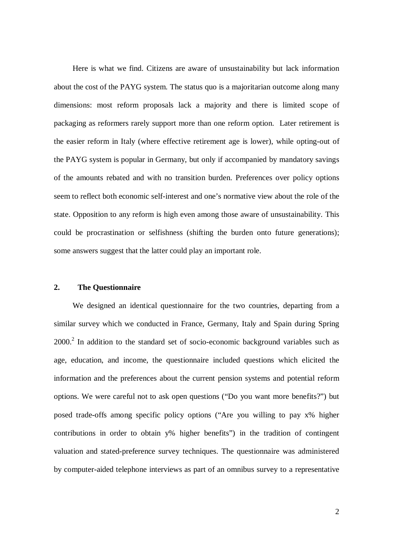Here is what we find. Citizens are aware of unsustainability but lack information about the cost of the PAYG system. The status quo is a majoritarian outcome along many dimensions: most reform proposals lack a majority and there is limited scope of packaging as reformers rarely support more than one reform option. Later retirement is the easier reform in Italy (where effective retirement age is lower), while opting-out of the PAYG system is popular in Germany, but only if accompanied by mandatory savings of the amounts rebated and with no transition burden. Preferences over policy options seem to reflect both economic self-interest and one's normative view about the role of the state. Opposition to any reform is high even among those aware of unsustainability. This could be procrastination or selfishness (shifting the burden onto future generations); some answers suggest that the latter could play an important role.

# **2. The Questionnaire**

We designed an identical questionnaire for the two countries, departing from a similar survey which we conducted in France, Germany, Italy and Spain during Spring  $2000$ .<sup>2</sup> In addition to the standard set of socio-economic background variables such as age, education, and income, the questionnaire included questions which elicited the information and the preferences about the current pension systems and potential reform options. We were careful not to ask open questions ("Do you want more benefits?") but posed trade-offs among specific policy options ("Are you willing to pay x% higher contributions in order to obtain y% higher benefits") in the tradition of contingent valuation and stated-preference survey techniques. The questionnaire was administered by computer-aided telephone interviews as part of an omnibus survey to a representative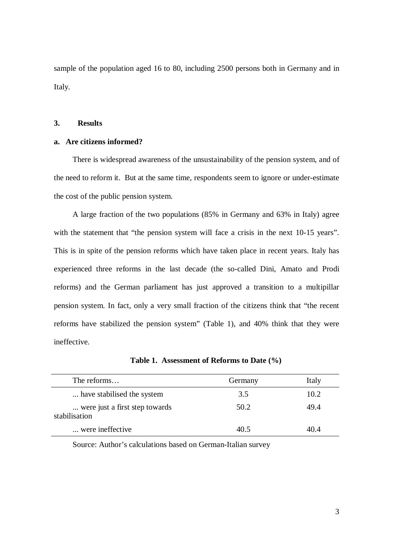sample of the population aged 16 to 80, including 2500 persons both in Germany and in Italy.

### **3. Results**

# **a. Are citizens informed?**

There is widespread awareness of the unsustainability of the pension system, and of the need to reform it. But at the same time, respondents seem to ignore or under-estimate the cost of the public pension system.

A large fraction of the two populations (85% in Germany and 63% in Italy) agree with the statement that "the pension system will face a crisis in the next 10-15 years". This is in spite of the pension reforms which have taken place in recent years. Italy has experienced three reforms in the last decade (the so-called Dini, Amato and Prodi reforms) and the German parliament has just approved a transition to a multipillar pension system. In fact, only a very small fraction of the citizens think that "the recent reforms have stabilized the pension system" (Table 1), and 40% think that they were ineffective.

| The reforms                                     | Germany | Italy |
|-------------------------------------------------|---------|-------|
| have stabilised the system                      | 3.5     | 10.2  |
| were just a first step towards<br>stabilisation | 50.2    | 49.4  |
| were ineffective.                               | 40.5    | 40.4  |

**Table 1. Assessment of Reforms to Date (%)**

Source: Author's calculations based on German-Italian survey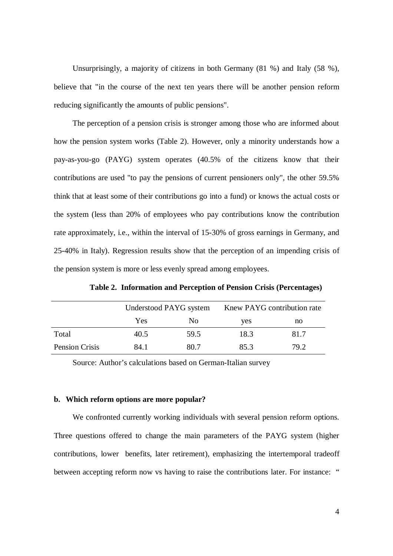Unsurprisingly, a majority of citizens in both Germany (81 %) and Italy (58 %), believe that "in the course of the next ten years there will be another pension reform reducing significantly the amounts of public pensions".

The perception of a pension crisis is stronger among those who are informed about how the pension system works (Table 2). However, only a minority understands how a pay-as-you-go (PAYG) system operates (40.5% of the citizens know that their contributions are used "to pay the pensions of current pensioners only", the other 59.5% think that at least some of their contributions go into a fund) or knows the actual costs or the system (less than 20% of employees who pay contributions know the contribution rate approximately, i.e., within the interval of 15-30% of gross earnings in Germany, and 25-40% in Italy). Regression results show that the perception of an impending crisis of the pension system is more or less evenly spread among employees.

|                       | Understood PAYG system |                | Knew PAYG contribution rate |      |
|-----------------------|------------------------|----------------|-----------------------------|------|
|                       | Yes                    | N <sub>0</sub> | yes                         | no   |
| Total                 | 40.5                   | 59.5           | 18.3                        | 81.7 |
| <b>Pension Crisis</b> | 84.1                   | 80.7           | 85.3                        | 79.2 |

**Table 2. Information and Perception of Pension Crisis (Percentages)**

Source: Author's calculations based on German-Italian survey

#### **b. Which reform options are more popular?**

We confronted currently working individuals with several pension reform options. Three questions offered to change the main parameters of the PAYG system (higher contributions, lower benefits, later retirement), emphasizing the intertemporal tradeoff between accepting reform now vs having to raise the contributions later. For instance: "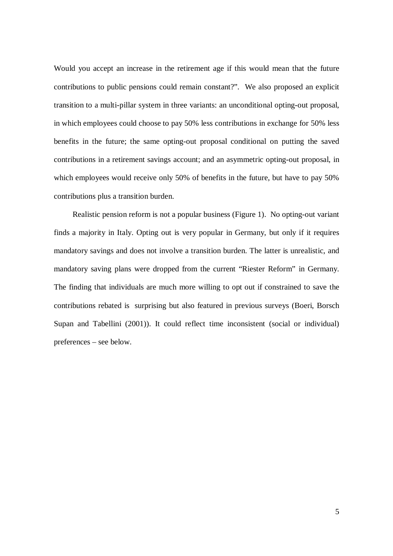Would you accept an increase in the retirement age if this would mean that the future contributions to public pensions could remain constant?". We also proposed an explicit transition to a multi-pillar system in three variants: an unconditional opting-out proposal, in which employees could choose to pay 50% less contributions in exchange for 50% less benefits in the future; the same opting-out proposal conditional on putting the saved contributions in a retirement savings account; and an asymmetric opting-out proposal, in which employees would receive only 50% of benefits in the future, but have to pay 50% contributions plus a transition burden.

Realistic pension reform is not a popular business (Figure 1). No opting-out variant finds a majority in Italy. Opting out is very popular in Germany, but only if it requires mandatory savings and does not involve a transition burden. The latter is unrealistic, and mandatory saving plans were dropped from the current "Riester Reform" in Germany. The finding that individuals are much more willing to opt out if constrained to save the contributions rebated is surprising but also featured in previous surveys (Boeri, Borsch Supan and Tabellini (2001)). It could reflect time inconsistent (social or individual) preferences – see below.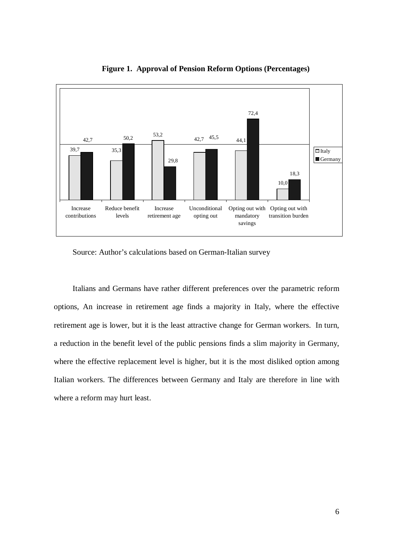

**Figure 1. Approval of Pension Reform Options (Percentages)**

Source: Author's calculations based on German-Italian survey

Italians and Germans have rather different preferences over the parametric reform options, An increase in retirement age finds a majority in Italy, where the effective retirement age is lower, but it is the least attractive change for German workers. In turn, a reduction in the benefit level of the public pensions finds a slim majority in Germany, where the effective replacement level is higher, but it is the most disliked option among Italian workers. The differences between Germany and Italy are therefore in line with where a reform may hurt least.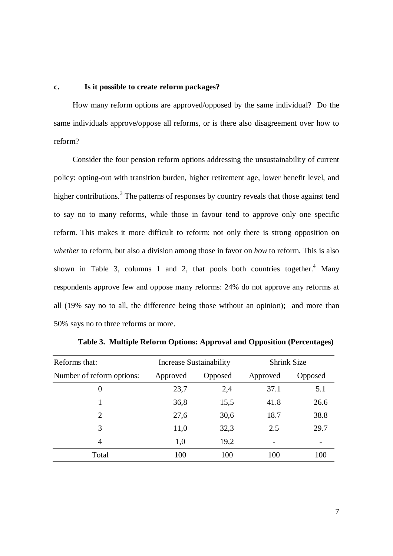### **c. Is it possible to create reform packages?**

How many reform options are approved/opposed by the same individual? Do the same individuals approve/oppose all reforms, or is there also disagreement over how to reform?

Consider the four pension reform options addressing the unsustainability of current policy: opting-out with transition burden, higher retirement age, lower benefit level, and higher contributions.<sup>3</sup> The patterns of responses by country reveals that those against tend to say no to many reforms, while those in favour tend to approve only one specific reform. This makes it more difficult to reform: not only there is strong opposition on *whether* to reform, but also a division among those in favor on *how* to reform. This is also shown in Table 3, columns 1 and 2, that pools both countries together.<sup>4</sup> Many respondents approve few and oppose many reforms: 24% do not approve any reforms at all (19% say no to all, the difference being those without an opinion); and more than 50% says no to three reforms or more.

| Reforms that:             | Increase Sustainability |         | <b>Shrink Size</b> |         |
|---------------------------|-------------------------|---------|--------------------|---------|
| Number of reform options: | Approved                | Opposed | Approved           | Opposed |
| $\boldsymbol{0}$          | 23,7                    | 2,4     | 37.1               | 5.1     |
|                           | 36,8                    | 15,5    | 41.8               | 26.6    |
| $\overline{2}$            | 27,6                    | 30,6    | 18.7               | 38.8    |
| 3                         | 11,0                    | 32,3    | 2.5                | 29.7    |
| 4                         | 1,0                     | 19,2    |                    |         |
| Total                     | 100                     | 100     | 100                | 100     |

**Table 3. Multiple Reform Options: Approval and Opposition (Percentages)**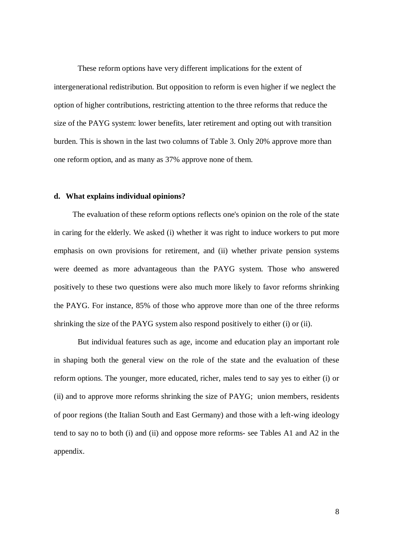These reform options have very different implications for the extent of intergenerational redistribution. But opposition to reform is even higher if we neglect the option of higher contributions, restricting attention to the three reforms that reduce the size of the PAYG system: lower benefits, later retirement and opting out with transition burden. This is shown in the last two columns of Table 3. Only 20% approve more than one reform option, and as many as 37% approve none of them.

#### **d. What explains individual opinions?**

The evaluation of these reform options reflects one's opinion on the role of the state in caring for the elderly. We asked (i) whether it was right to induce workers to put more emphasis on own provisions for retirement, and (ii) whether private pension systems were deemed as more advantageous than the PAYG system. Those who answered positively to these two questions were also much more likely to favor reforms shrinking the PAYG. For instance, 85% of those who approve more than one of the three reforms shrinking the size of the PAYG system also respond positively to either (i) or (ii).

But individual features such as age, income and education play an important role in shaping both the general view on the role of the state and the evaluation of these reform options. The younger, more educated, richer, males tend to say yes to either (i) or (ii) and to approve more reforms shrinking the size of PAYG; union members, residents of poor regions (the Italian South and East Germany) and those with a left-wing ideology tend to say no to both (i) and (ii) and oppose more reforms- see Tables A1 and A2 in the appendix.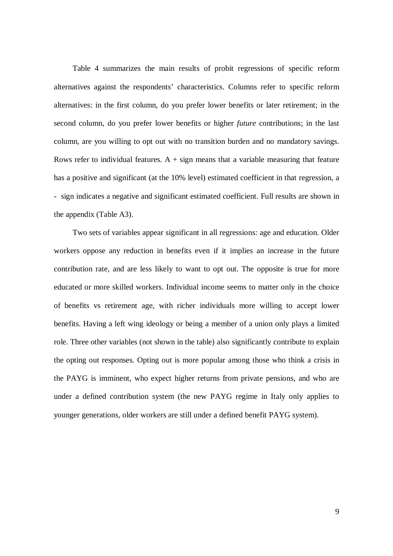Table 4 summarizes the main results of probit regressions of specific reform alternatives against the respondents' characteristics. Columns refer to specific reform alternatives: in the first column, do you prefer lower benefits or later retirement; in the second column, do you prefer lower benefits or higher *future* contributions; in the last column, are you willing to opt out with no transition burden and no mandatory savings. Rows refer to individual features.  $A + sign$  means that a variable measuring that feature has a positive and significant (at the 10% level) estimated coefficient in that regression, a - sign indicates a negative and significant estimated coefficient. Full results are shown in the appendix (Table A3).

Two sets of variables appear significant in all regressions: age and education. Older workers oppose any reduction in benefits even if it implies an increase in the future contribution rate, and are less likely to want to opt out. The opposite is true for more educated or more skilled workers. Individual income seems to matter only in the choice of benefits vs retirement age, with richer individuals more willing to accept lower benefits. Having a left wing ideology or being a member of a union only plays a limited role. Three other variables (not shown in the table) also significantly contribute to explain the opting out responses. Opting out is more popular among those who think a crisis in the PAYG is imminent, who expect higher returns from private pensions, and who are under a defined contribution system (the new PAYG regime in Italy only applies to younger generations, older workers are still under a defined benefit PAYG system).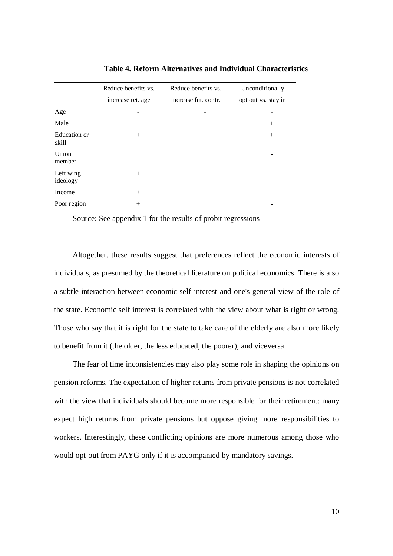|                       | Reduce benefits vs.<br>Reduce benefits vs. |                      | Unconditionally     |  |
|-----------------------|--------------------------------------------|----------------------|---------------------|--|
|                       | increase ret. age                          | increase fut. contr. | opt out vs. stay in |  |
| Age                   |                                            |                      |                     |  |
| Male                  |                                            |                      | $^{+}$              |  |
| Education or<br>skill | $+$                                        | $+$                  | $^{+}$              |  |
| Union<br>member       |                                            |                      | -                   |  |
| Left wing<br>ideology | $^{+}$                                     |                      |                     |  |
| Income                | $^{+}$                                     |                      |                     |  |
| Poor region           | $+$                                        |                      |                     |  |

**Table 4. Reform Alternatives and Individual Characteristics**

Source: See appendix 1 for the results of probit regressions

Altogether, these results suggest that preferences reflect the economic interests of individuals, as presumed by the theoretical literature on political economics. There is also a subtle interaction between economic self-interest and one's general view of the role of the state. Economic self interest is correlated with the view about what is right or wrong. Those who say that it is right for the state to take care of the elderly are also more likely to benefit from it (the older, the less educated, the poorer), and viceversa.

The fear of time inconsistencies may also play some role in shaping the opinions on pension reforms. The expectation of higher returns from private pensions is not correlated with the view that individuals should become more responsible for their retirement: many expect high returns from private pensions but oppose giving more responsibilities to workers. Interestingly, these conflicting opinions are more numerous among those who would opt-out from PAYG only if it is accompanied by mandatory savings.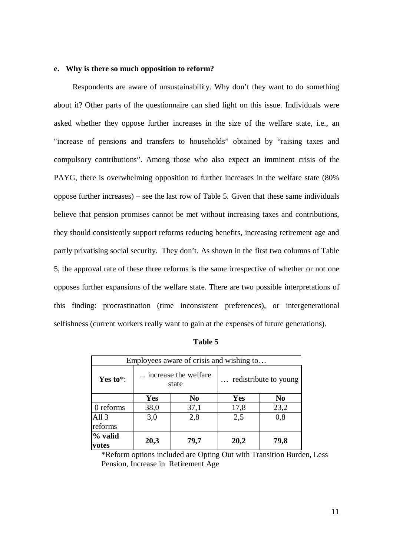## **e. Why is there so much opposition to reform?**

Respondents are aware of unsustainability. Why don't they want to do something about it? Other parts of the questionnaire can shed light on this issue. Individuals were asked whether they oppose further increases in the size of the welfare state, i.e., an "increase of pensions and transfers to households" obtained by "raising taxes and compulsory contributions". Among those who also expect an imminent crisis of the PAYG, there is overwhelming opposition to further increases in the welfare state (80% oppose further increases) – see the last row of Table 5. Given that these same individuals believe that pension promises cannot be met without increasing taxes and contributions, they should consistently support reforms reducing benefits, increasing retirement age and partly privatising social security. They don't. As shown in the first two columns of Table 5, the approval rate of these three reforms is the same irrespective of whether or not one opposes further expansions of the welfare state. There are two possible interpretations of this finding: procrastination (time inconsistent preferences), or intergenerational selfishness (current workers really want to gain at the expenses of future generations).

| Employees aware of crisis and wishing to |                                |                |                       |                |
|------------------------------------------|--------------------------------|----------------|-----------------------|----------------|
| Yes to*:                                 | increase the welfare.<br>state |                | redistribute to young |                |
|                                          | <b>Yes</b>                     | N <sub>0</sub> | Yes                   | N <sub>0</sub> |
| 0 reforms                                | 38,0                           | 37,1           | 17,8                  | 23,2           |
| All <sub>3</sub><br>reforms              | 3,0                            | 2,8            | 2,5                   | 0.8            |
| % valid<br>votes                         | 20,3                           | 79,7           | 20,2                  | 79,8           |

| able |  |
|------|--|
|------|--|

\*Reform options included are Opting Out with Transition Burden, Less Pension, Increase in Retirement Age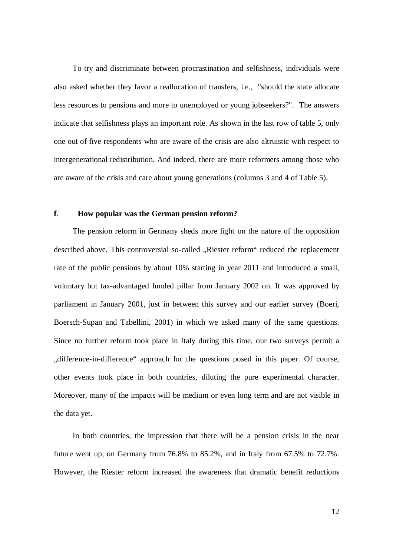To try and discriminate between procrastination and selfishness, individuals were also asked whether they favor a reallocation of transfers, i.e., "should the state allocate less resources to pensions and more to unemployed or young jobseekers?". The answers indicate that selfishness plays an important role. As shown in the last row of table 5, only one out of five respondents who are aware of the crisis are also altruistic with respect to intergenerational redistribution. And indeed, there are more reformers among those who are aware of the crisis and care about young generations (columns 3 and 4 of Table 5).

### **f**. **How popular was the German pension reform?**

The pension reform in Germany sheds more light on the nature of the opposition described above. This controversial so-called "Riester reform" reduced the replacement rate of the public pensions by about 10% starting in year 2011 and introduced a small, voluntary but tax-advantaged funded pillar from January 2002 on. It was approved by parliament in January 2001, just in between this survey and our earlier survey (Boeri, Boersch-Supan and Tabellini, 2001) in which we asked many of the same questions. Since no further reform took place in Italy during this time, our two surveys permit a "difference-in-difference" approach for the questions posed in this paper. Of course, other events took place in both countries, diluting the pure experimental character. Moreover, many of the impacts will be medium or even long term and are not visible in the data yet.

In both countries, the impression that there will be a pension crisis in the near future went up; on Germany from 76.8% to 85.2%, and in Italy from 67.5% to 72.7%. However, the Riester reform increased the awareness that dramatic benefit reductions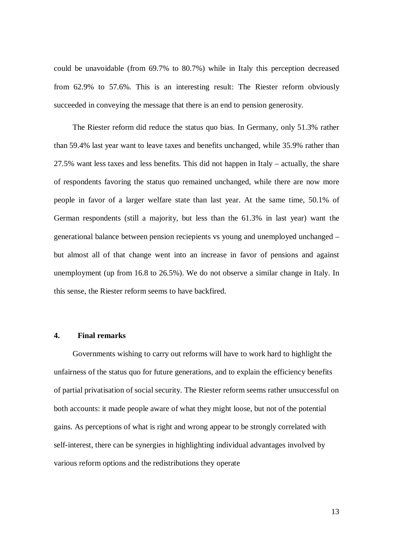could be unavoidable (from 69.7% to 80.7%) while in Italy this perception decreased from 62.9% to 57.6%. This is an interesting result: The Riester reform obviously succeeded in conveying the message that there is an end to pension generosity.

The Riester reform did reduce the status quo bias. In Germany, only 51.3% rather than 59.4% last year want to leave taxes and benefits unchanged, while 35.9% rather than 27.5% want less taxes and less benefits. This did not happen in Italy – actually, the share of respondents favoring the status quo remained unchanged, while there are now more people in favor of a larger welfare state than last year. At the same time, 50.1% of German respondents (still a majority, but less than the 61.3% in last year) want the generational balance between pension reciepients vs young and unemployed unchanged – but almost all of that change went into an increase in favor of pensions and against unemployment (up from 16.8 to 26.5%). We do not observe a similar change in Italy. In this sense, the Riester reform seems to have backfired.

# **4. Final remarks**

Governments wishing to carry out reforms will have to work hard to highlight the unfairness of the status quo for future generations, and to explain the efficiency benefits of partial privatisation of social security. The Riester reform seems rather unsuccessful on both accounts: it made people aware of what they might loose, but not of the potential gains. As perceptions of what is right and wrong appear to be strongly correlated with self-interest, there can be synergies in highlighting individual advantages involved by various reform options and the redistributions they operate

13